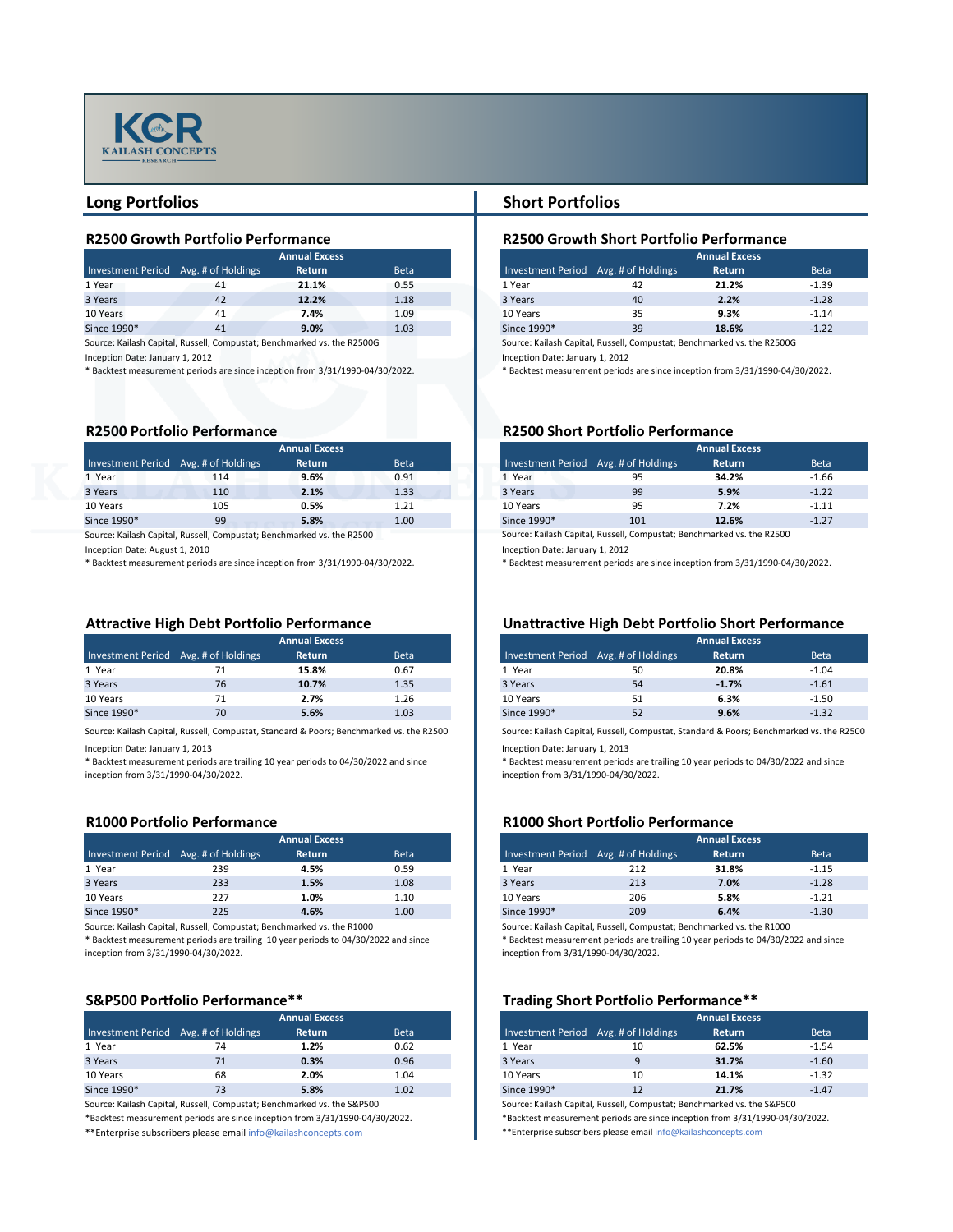### **R2500 Growth Portfolio Performance R2500 Growth Short Portfolio Performance**

| <b>ual Excess</b> |             |  |
|-------------------|-------------|--|
| <b>Return</b>     | <b>Beta</b> |  |
| 21.1%             | 0.55        |  |
| 12.2%             | 1.18        |  |
| 7.4%              | 1.09        |  |
| 9.0%              | 1.03        |  |



| <b>Annual Excess</b>                 |  |    |               |                   |  |  |
|--------------------------------------|--|----|---------------|-------------------|--|--|
| Investment Period Avg. # of Holdings |  |    | <b>Return</b> | <b>Beta</b>       |  |  |
| 1 Year                               |  | 41 | 21.1%         | 0.55              |  |  |
| 3 Years                              |  | 42 | 12.2%         | 1.18              |  |  |
| 10 Years                             |  | 41 | 7.4%          | 1.09              |  |  |
| Since 1990*                          |  | 41 | 9.0%          | 1.03 <sub>1</sub> |  |  |

Source: Kailash Capital, Russell, Compustat; Benchmarked vs. the R2500G

Inception Date: January 1, 2012 Inception Date: January 1, 2012

### **R2500 Portfolio Performance R2500 Short Portfolio Performance**

| <b>ual Excess</b> |             |             | <b>Annual Excess</b>                 |               |  |  |  |
|-------------------|-------------|-------------|--------------------------------------|---------------|--|--|--|
| <b>Return</b>     | <b>Beta</b> |             | Investment Period Avg. # of Holdings | <b>Return</b> |  |  |  |
| 9.6%              | 0.91        | 1 Year      | 95                                   | 34.2%         |  |  |  |
| 2.1%              | 1.33        | 3 Years     | 99                                   | 5.9%          |  |  |  |
| 0.5%              | 1.21        | 10 Years    | 95                                   | 7.2%          |  |  |  |
| 5.8%              | 1.00        | Since 1990* | 101                                  | 12.6%         |  |  |  |

| <b>Annual Excess</b> |                                      |               |                   |  |  |
|----------------------|--------------------------------------|---------------|-------------------|--|--|
|                      | Investment Period Avg. # of Holdings | <b>Return</b> | <b>Beta</b>       |  |  |
| 1 Year               | 114                                  | 9.6%          | 0.91              |  |  |
| 3 Years              | 110                                  | 2.1%          | 1.33              |  |  |
| 10 Years             | 105                                  | 0.5%          | 1.21              |  |  |
| Since 1990*          | 99                                   | 5.8%          | 1.00 <sub>1</sub> |  |  |

Source: Kailash Capital, Russell, Compustat; Benchmarked vs. the R2500

Inception Date: August 1, 2010 Inception Date: January 1, 2012

### **Attractive High Debt Portfolio Performance Unattractive High Debt Portfolio Short Performance**

| <b>ual Excess</b> |             |  |
|-------------------|-------------|--|
| <b>Return</b>     | <b>Beta</b> |  |
| 15.8%             | 0.67        |  |
| 10.7%             | 1.35        |  |
| 2.7%              | 1.26        |  |
| 5.6%              | 1.03        |  |
|                   |             |  |

| <b>Annual Excess</b>                 |    |               |             |  |  |
|--------------------------------------|----|---------------|-------------|--|--|
| Investment Period Avg. # of Holdings |    | <b>Return</b> | <b>Beta</b> |  |  |
| 1 Year                               |    | 15.8%         | 0.67        |  |  |
| 3 Years                              | 76 | 10.7%         | 1.35        |  |  |
| 10 Years                             |    | 2.7%          | 1.26        |  |  |
| Since 1990*                          | 70 | 5.6%          | 1.03        |  |  |

Source: Kailash Capital, Russell, Compustat, Standard & Poors; Benchmarked vs. the R2500 Source: Kailash Capital, Russell, Compustat, Standard & Poors; Benchmarked vs. the R2500

Inception Date: January 1, 2013 Inception Date: January 1, 2013

## **R1000 Portfolio Performance R1000 Short Portfolio Performance**

| <b>ual Excess</b> |             |             | <b>Annual Excess</b>                 |               |  |  |  |  |
|-------------------|-------------|-------------|--------------------------------------|---------------|--|--|--|--|
| <b>Return</b>     | <b>Beta</b> |             | Investment Period Avg. # of Holdings | <b>Return</b> |  |  |  |  |
| 4.5%              | 0.59        | 1 Year      | 212                                  | 31.8%         |  |  |  |  |
| 1.5%              | 1.08        | 3 Years     | 213                                  | 7.0%          |  |  |  |  |
| 1.0%              | 1.10        | 10 Years    | 206                                  | 5.8%          |  |  |  |  |
| 4.6%              | 1.00        | Since 1990* | 209                                  | 6.4%          |  |  |  |  |

| <b>Annual Excess</b> |                                      |               |                   |  |  |
|----------------------|--------------------------------------|---------------|-------------------|--|--|
|                      | Investment Period Avg. # of Holdings | <b>Return</b> | <b>Beta</b>       |  |  |
| 1 Year               | 239                                  | 4.5%          | 0.59              |  |  |
| 3 Years              | 233                                  | 1.5%          | 1.08              |  |  |
| 10 Years             | 227                                  | 1.0%          | 1.10              |  |  |
| Since 1990*          | 225                                  | 4.6%          | 1.00 <sub>l</sub> |  |  |

## **Long Portfolios Short Portfolios**

Source: Kailash Capital, Russell, Compustat; Benchmarked vs. the R1000 Source: Kailash Capital, Russell, Compustat; Benchmarked vs. the R1000

| <b>ual Excess</b> |             |
|-------------------|-------------|
| <b>Return</b>     | <b>Beta</b> |
| 1.2%              | 0.62        |
| 0.3%              | 0.96        |
| 2.0%              | 1.04        |
| 5.8%              | 1.02        |

| <b>Annual Excess</b>                 |    |               |                   |  |  |
|--------------------------------------|----|---------------|-------------------|--|--|
| Investment Period Avg. # of Holdings |    | <b>Return</b> | <b>Beta</b>       |  |  |
| 1 Year                               |    | 1.2%          | 0.62              |  |  |
| 3 Years                              |    | 0.3%          | 0.96              |  |  |
| 10 Years                             | 68 | 2.0%          | 1.04              |  |  |
| Since 1990*                          |    | 5.8%          | 1.02 <sub>1</sub> |  |  |

\*\*Enterprise subscribers please email info@kailashconcepts.com \*\*Enterprise subscribers please email info@kailashconcepts.com

Source: Kailash Capital, Russell, Compustat; Benchmarked vs. the R2500G

\* Backtest measurement periods are since inception from 3/31/1990-04/30/2022. \* Backtest measurement periods are since inception from 3/31/1990-04/30/2022.

\* Backtest measurement periods are since inception from 3/31/1990-04/30/2022.

\* Backtest measurement periods are trailing 10 year periods to 04/30/2022 and since inception from 3/31/1990-04/30/2022.

Source: Kailash Capital, Russell, Compustat; Benchmarked vs. the S&P500 Source: Kailash Capital, Russell, Compustat; Benchmarked vs. the S&P500 \*Backtest measurement periods are since inception from 3/31/1990-04/30/2022.

\* Backtest measurement periods are trailing 10 year periods to 04/30/2022 and since inception from 3/31/1990-04/30/2022.

\*Backtest measurement periods are since inception from 3/31/1990-04/30/2022.

Source: Kailash Capital, Russell, Compustat; Benchmarked vs. the R2500

\* Backtest measurement periods are since inception from 3/31/1990-04/30/2022.

\* Backtest measurement periods are trailing 10 year periods to 04/30/2022 and since inception from 3/31/1990-04/30/2022.

\* Backtest measurement periods are trailing 10 year periods to 04/30/2022 and since inception from 3/31/1990-04/30/2022.

## **S&P500 Portfolio Performance\*\*** Trading Short Portfolio Performance\*\*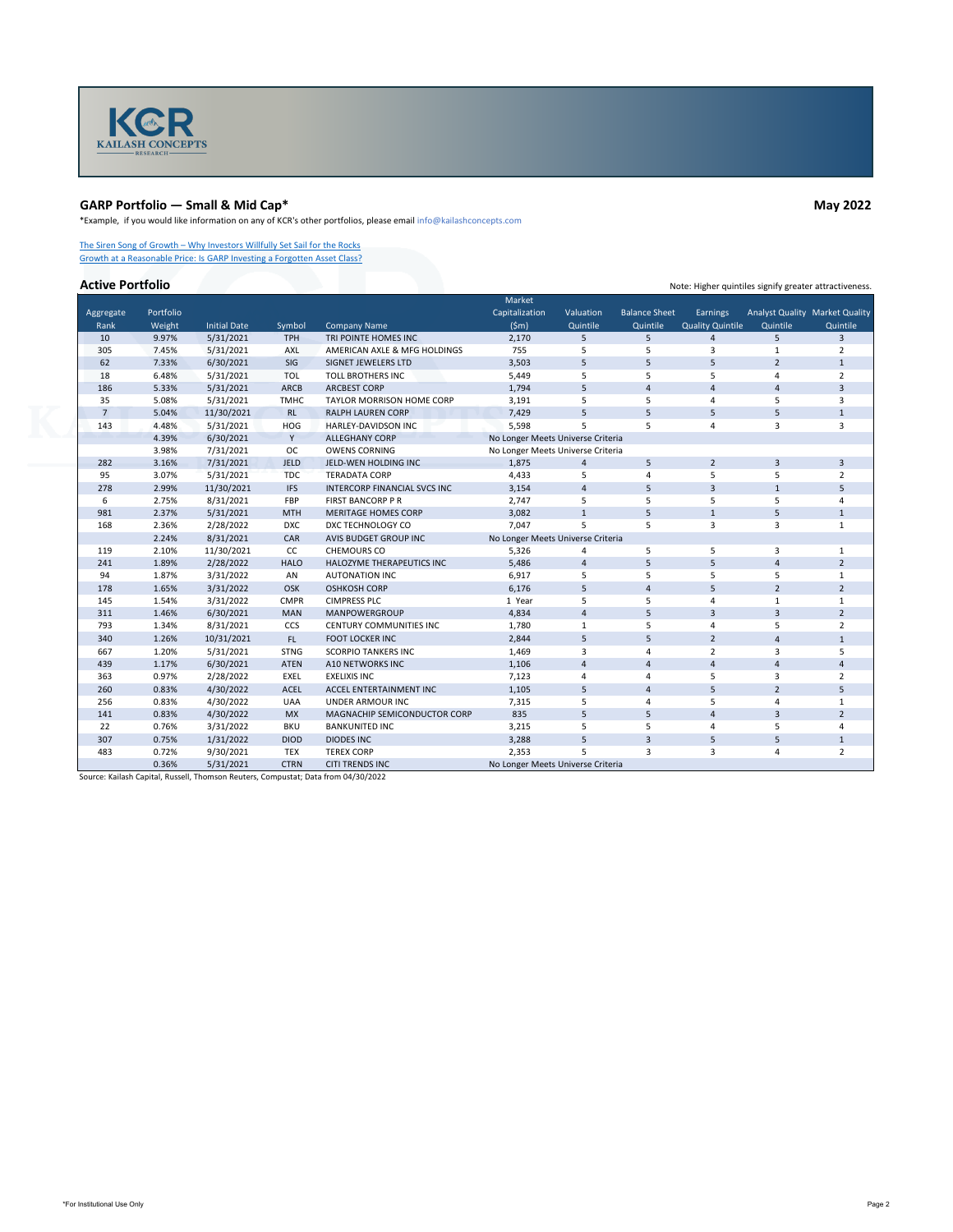

# **GARP Portfolio — Small & Mid Cap\* May 2022**

\*Example, if you would like information on any of KCR's other portfolios, please email info@kailashconcepts.com

[The Siren Song of Growth – Why Investors Willfully Set Sail for the Rocks](https://kailashconcepts.com/white-papers/the-siren-song-of-growth-why-investors-willfully-set-sail-for-the-rocks/) [Growth at a Reasonable Price: Is GARP Investing a Forgotten Asset Class?](https://kailashconcepts.com/white-papers/growth-at-a-reasonable-price-a-forgotten-asset-class/)

|                |           |                     |             |                                | Market                            |                |                      |                         |                |                                       |
|----------------|-----------|---------------------|-------------|--------------------------------|-----------------------------------|----------------|----------------------|-------------------------|----------------|---------------------------------------|
| Aggregate      | Portfolio |                     |             |                                | Capitalization                    | Valuation      | <b>Balance Sheet</b> | <b>Earnings</b>         |                | <b>Analyst Quality Market Quality</b> |
| Rank           | Weight    | <b>Initial Date</b> | Symbol      | <b>Company Name</b>            | (5m)                              | Quintile       | Quintile             | <b>Quality Quintile</b> | Quintile       | Quintile                              |
| 10             | 9.97%     | 5/31/2021           | <b>TPH</b>  | TRI POINTE HOMES INC           | 2,170                             | 5              | 5                    | $\overline{4}$          | 5 <sup>5</sup> | $\mathbf{3}$                          |
| 305            | 7.45%     | 5/31/2021           | <b>AXL</b>  | AMERICAN AXLE & MFG HOLDINGS   | 755                               | 5              | 5                    | 3                       | 1              | 2                                     |
| 62             | 7.33%     | 6/30/2021           | SIG         | SIGNET JEWELERS LTD            | 3,503                             | 5              | 5                    | $5\overline{)}$         | $\overline{2}$ | $\mathbf{1}$                          |
| 18             | 6.48%     | 5/31/2021           | TOL         | TOLL BROTHERS INC              | 5,449                             | 5              | 5                    | 5                       | 4              | $\overline{2}$                        |
| 186            | 5.33%     | 5/31/2021           | <b>ARCB</b> | <b>ARCBEST CORP</b>            | 1,794                             | 5              | 4                    | 4                       | 4              | 3                                     |
| 35             | 5.08%     | 5/31/2021           | <b>TMHC</b> | TAYLOR MORRISON HOME CORP      | 3,191                             | 5              | 5                    | 4                       | 5              | 3                                     |
| $\overline{7}$ | 5.04%     | 11/30/2021          | RL          | <b>RALPH LAUREN CORP</b>       | 7,429                             | 5              | 5                    | 5                       | 5              | $\mathbf{1}$                          |
| 143            | 4.48%     | 5/31/2021           | <b>HOG</b>  | HARLEY-DAVIDSON INC            | 5,598                             | 5              | 5                    | 4                       | 3              | 3                                     |
|                | 4.39%     | 6/30/2021           | Y           | <b>ALLEGHANY CORP</b>          | No Longer Meets Universe Criteria |                |                      |                         |                |                                       |
|                | 3.98%     | 7/31/2021           | OC          | <b>OWENS CORNING</b>           | No Longer Meets Universe Criteria |                |                      |                         |                |                                       |
| 282            | 3.16%     | 7/31/2021           | <b>JELD</b> | JELD-WEN HOLDING INC           | 1,875                             | $\overline{4}$ | 5                    | $\overline{2}$          | 3              | $\overline{3}$                        |
| 95             | 3.07%     | 5/31/2021           | <b>TDC</b>  | <b>TERADATA CORP</b>           | 4,433                             | 5              | 4                    | 5                       | 5              | $\overline{2}$                        |
| 278            | 2.99%     | 11/30/2021          | <b>IFS</b>  | INTERCORP FINANCIAL SVCS INC   | 3,154                             | 4              | 5                    | $\overline{3}$          | 1              | 5                                     |
| 6              | 2.75%     | 8/31/2021           | FBP         | <b>FIRST BANCORP P R</b>       | 2,747                             | 5              | 5                    | 5                       | 5              |                                       |
| 981            | 2.37%     | 5/31/2021           | <b>MTH</b>  | <b>MERITAGE HOMES CORP</b>     | 3,082                             | $\mathbf{1}$   | 5                    | $\mathbf{1}$            | 5              | $\mathbf{1}$                          |
| 168            | 2.36%     | 2/28/2022           | <b>DXC</b>  | DXC TECHNOLOGY CO              | 7,047                             | 5              | 5                    | $\overline{3}$          | 3              | $\mathbf{1}$                          |
|                | 2.24%     | 8/31/2021           | CAR         | AVIS BUDGET GROUP INC          | No Longer Meets Universe Criteria |                |                      |                         |                |                                       |
| 119            | 2.10%     | 11/30/2021          | CC          | <b>CHEMOURS CO</b>             | 5,326                             | 4              | 5                    | 5                       | 3              | $\mathbf{1}$                          |
| 241            | 1.89%     | 2/28/2022           | <b>HALO</b> | HALOZYME THERAPEUTICS INC      | 5,486                             | 4              | 5                    | 5                       | 4              | $\overline{2}$                        |
| 94             | 1.87%     | 3/31/2022           | AN          | <b>AUTONATION INC</b>          | 6,917                             | 5              | 5                    | 5                       | 5              | $\mathbf{1}$                          |
| 178            | 1.65%     | 3/31/2022           | OSK         | <b>OSHKOSH CORP</b>            | 6,176                             | 5              | $\overline{4}$       | 5                       | $\overline{2}$ | $2^{\circ}$                           |
| 145            | 1.54%     | 3/31/2022           | <b>CMPR</b> | <b>CIMPRESS PLC</b>            | 1 Year                            | 5              | 5                    | 4                       | 1              | $\mathbf{1}$                          |
| 311            | 1.46%     | 6/30/2021           | <b>MAN</b>  | MANPOWERGROUP                  | 4,834                             | $\sqrt{4}$     | 5                    | $\overline{3}$          | $\overline{3}$ | $\overline{2}$                        |
| 793            | 1.34%     | 8/31/2021           | CCS         | <b>CENTURY COMMUNITIES INC</b> | 1,780                             | $\mathbf{1}$   | 5                    | 4                       | 5              | $2^{\circ}$                           |
| 340            | 1.26%     | 10/31/2021          | FL.         | FOOT LOCKER INC                | 2,844                             | 5              | 5                    | $\overline{2}$          | 4              | $\mathbf{1}$                          |
| 667            | 1.20%     | 5/31/2021           | <b>STNG</b> | <b>SCORPIO TANKERS INC</b>     | 1,469                             | 3              | $\overline{4}$       | $\overline{2}$          | 3              | 5                                     |
| 439            | 1.17%     | 6/30/2021           | <b>ATEN</b> | A10 NETWORKS INC               | 1,106                             | 4              | 4                    | 4                       | 4              | 4                                     |
| 363            | 0.97%     | 2/28/2022           | <b>EXEL</b> | <b>EXELIXIS INC</b>            | 7,123                             | 4              | 4                    | 5                       | 3              | $\overline{2}$                        |
| 260            | 0.83%     | 4/30/2022           | ACEL        | ACCEL ENTERTAINMENT INC        | 1,105                             | 5              | 4                    | 5                       | $\overline{2}$ | 5                                     |
| 256            | 0.83%     | 4/30/2022           | <b>UAA</b>  | <b>UNDER ARMOUR INC</b>        | 7,315                             | 5              | 4                    | 5                       | 4              | $\mathbf{1}$                          |
| 141            | 0.83%     | 4/30/2022           | <b>MX</b>   | MAGNACHIP SEMICONDUCTOR CORP   | 835                               | 5              | 5                    | $\overline{4}$          | $\overline{3}$ | $\overline{2}$                        |
| 22             | 0.76%     | 3/31/2022           | <b>BKU</b>  | <b>BANKUNITED INC</b>          | 3,215                             | 5              | 5                    | 4                       | 5              | 4                                     |
| 307            | 0.75%     | 1/31/2022           | <b>DIOD</b> | <b>DIODES INC</b>              | 3,288                             | 5              | 3                    | 5                       | 5              | $\mathbf{1}$                          |
| 483            | 0.72%     | 9/30/2021           | TEX         | <b>TEREX CORP</b>              | 2,353                             | 5              | $\mathbf{3}$         | $\mathbf{3}$            | 4              | $\overline{2}$                        |
|                | 0.36%     | 5/31/2021           | <b>CTRN</b> | <b>CITI TRENDS INC</b>         | No Longer Meets Universe Criteria |                |                      |                         |                |                                       |

Source: Kailash Capital, Russell, Thomson Reuters, Compustat; Data from 04/30/2022

**Active Portfolio** Note: Higher quintiles signify greater attractiveness.